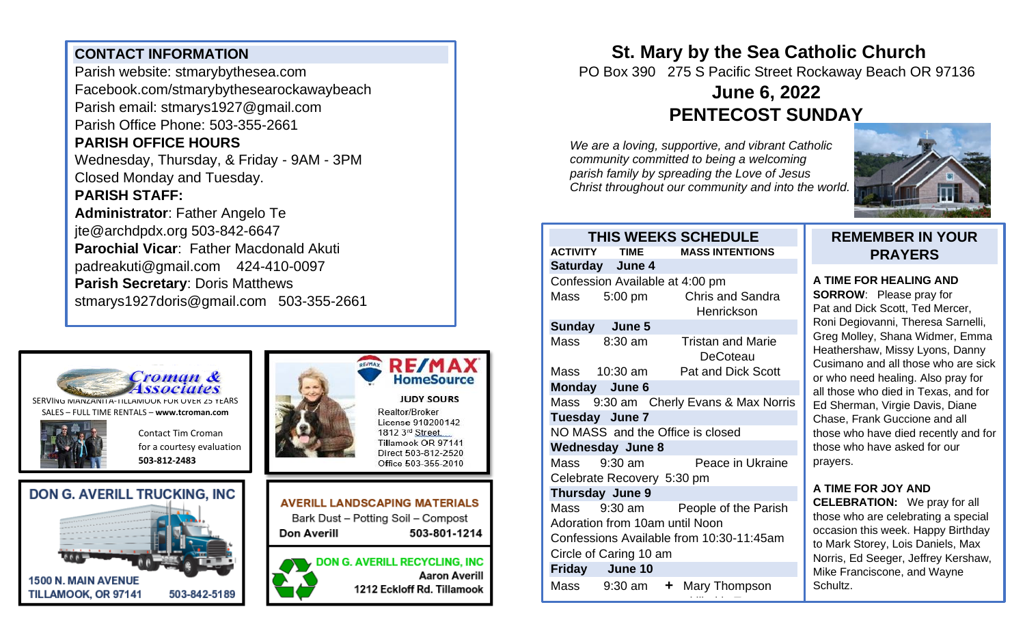## **CONTACT INFORMATION**

Parish website: stmarybythesea.com Facebook.com/stmarybythesearockawaybeach Parish email: stmarys1927@gmail.com Parish Office Phone: 503-355-2661 **PARISH OFFICE HOURS**  Wednesday, Thursday, & Friday - 9AM - 3PM Closed Monday and Tuesday.

### **PARISH STAFF:**

**Administrator**: Father Angelo Te jte@archdpdx.org 503-842-6647 **Parochial Vicar**: Father Macdonald Akuti padreakuti@gmail.com 424-410-0097 **Parish Secretary**: Doris Matthews stmarys1927doris@gmail.com 503-355-2661



SERVING MANZANITA-TILLAMOOK FOR OVER 25 YEARS SALES – FULL TIME RENTALS – **[www.tcroman.com](http://www.tcroman.com/)**

> Contact Tim Croman for a courtesy evaluation

**503-812-2483**









#### **JUDY SOURS**

Realtor/Broker License 910200142 1812 3rd Street. Tillamook OR 97141 Direct 503-812-2520 Office 503-355-2010

**AVERILL LANDSCAPING MATERIALS** Bark Dust - Potting Soil - Compost Don Averill 503-801-1214

**DON G. AVERILL RECYCLING, INC Aaron Averill** 1212 Eckloff Rd. Tillamook

# **St. Mary by the Sea Catholic Church**

PO Box 390 275 S Pacific Street Rockaway Beach OR 97136

# **June 6, 2022 PENTECOST SUNDAY**

*We are a loving, supportive, and vibrant Catholic community committed to being a welcoming parish family by spreading the Love of Jesus Christ throughout our community and into the world.*



#### **THIS WEEKS SCHEDULE ACTIVITY TIME MASS INTENTIONS Saturday June 4**  Confession Available at 4:00 pm Mass 5:00 pm Chris and Sandra Henrickson **Sunday June 5**  Mass 8:30 am Tristan and Marie **DeCoteau** Mass 10:30 am Pat and Dick Scott **Monday June 6**  Mass 9:30 am Cherly Evans & Max Norris **Tuesday June 7**  NO MASS and the Office is closed **Wednesday June 8**  Mass 9:30 am Peace in Ukraine Celebrate Recovery 5:30 pm **Thursday June 9** Mass 9:30 am People of the Parish Adoration from 10am until Noon Confessions Available from 10:30-11:45am Circle of Caring 10 am **Friday June 10** Mass 9:30 am **+** Mary Thompson

killed in Texas and the United States of the United States and the United States and the United States and the<br>Texas and the United States and the United States and the United States and the United States and the United S

## **REMEMBER IN YOUR PRAYERS**

#### **A TIME FOR HEALING AND**

**SORROW**: Please pray for Pat and Dick Scott, Ted Mercer, Roni Degiovanni, Theresa Sarnelli, Greg Molley, Shana Widmer, Emma Heathershaw, Missy Lyons, Danny Cusimano and all those who are sick or who need healing. Also pray for all those who died in Texas, and for Ed Sherman, Virgie Davis, Diane Chase, Frank Guccione and all those who have died recently and for those who have asked for our prayers.

# **A TIME FOR JOY AND**

**CELEBRATION:** We pray for all those who are celebrating a special occasion this week. Happy Birthday to Mark Storey, Lois Daniels, Max Norris, Ed Seeger, Jeffrey Kershaw, Mike Franciscone, and Wayne Schultz.